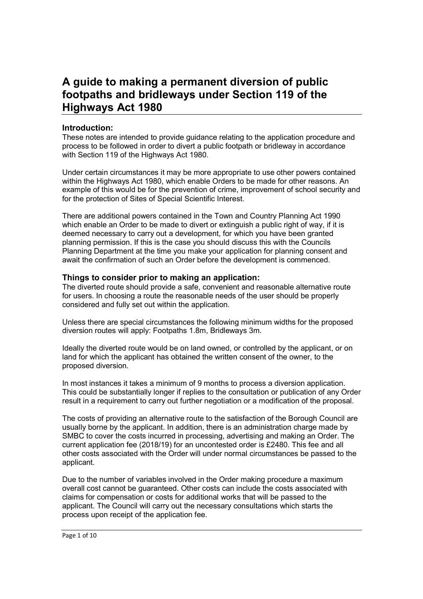# A guide to making a permanent diversion of public footpaths and bridleways under Section 119 of the Highways Act 1980

#### Introduction:

These notes are intended to provide guidance relating to the application procedure and process to be followed in order to divert a public footpath or bridleway in accordance with Section 119 of the Highways Act 1980.

Under certain circumstances it may be more appropriate to use other powers contained within the Highways Act 1980, which enable Orders to be made for other reasons. An example of this would be for the prevention of crime, improvement of school security and for the protection of Sites of Special Scientific Interest.

There are additional powers contained in the Town and Country Planning Act 1990 which enable an Order to be made to divert or extinguish a public right of way, if it is deemed necessary to carry out a development, for which you have been granted planning permission. If this is the case you should discuss this with the Councils Planning Department at the time you make your application for planning consent and await the confirmation of such an Order before the development is commenced.

# Things to consider prior to making an application:

The diverted route should provide a safe, convenient and reasonable alternative route for users. In choosing a route the reasonable needs of the user should be properly considered and fully set out within the application.

Unless there are special circumstances the following minimum widths for the proposed diversion routes will apply: Footpaths 1.8m, Bridleways 3m.

Ideally the diverted route would be on land owned, or controlled by the applicant, or on land for which the applicant has obtained the written consent of the owner, to the proposed diversion.

In most instances it takes a minimum of 9 months to process a diversion application. This could be substantially longer if replies to the consultation or publication of any Order result in a requirement to carry out further negotiation or a modification of the proposal.

The costs of providing an alternative route to the satisfaction of the Borough Council are usually borne by the applicant. In addition, there is an administration charge made by SMBC to cover the costs incurred in processing, advertising and making an Order. The current application fee (2018/19) for an uncontested order is £2480. This fee and all other costs associated with the Order will under normal circumstances be passed to the applicant.

Due to the number of variables involved in the Order making procedure a maximum overall cost cannot be guaranteed. Other costs can include the costs associated with claims for compensation or costs for additional works that will be passed to the applicant. The Council will carry out the necessary consultations which starts the process upon receipt of the application fee.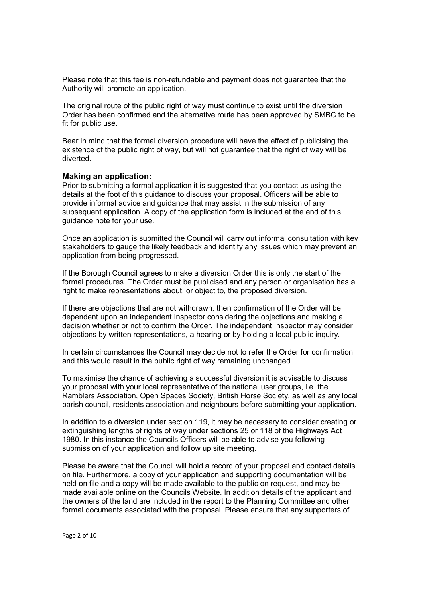Please note that this fee is non-refundable and payment does not guarantee that the Authority will promote an application.

The original route of the public right of way must continue to exist until the diversion Order has been confirmed and the alternative route has been approved by SMBC to be fit for public use.

Bear in mind that the formal diversion procedure will have the effect of publicising the existence of the public right of way, but will not guarantee that the right of way will be diverted.

#### Making an application:

Prior to submitting a formal application it is suggested that you contact us using the details at the foot of this guidance to discuss your proposal. Officers will be able to provide informal advice and guidance that may assist in the submission of any subsequent application. A copy of the application form is included at the end of this guidance note for your use.

Once an application is submitted the Council will carry out informal consultation with key stakeholders to gauge the likely feedback and identify any issues which may prevent an application from being progressed.

If the Borough Council agrees to make a diversion Order this is only the start of the formal procedures. The Order must be publicised and any person or organisation has a right to make representations about, or object to, the proposed diversion.

If there are objections that are not withdrawn, then confirmation of the Order will be dependent upon an independent Inspector considering the objections and making a decision whether or not to confirm the Order. The independent Inspector may consider objections by written representations, a hearing or by holding a local public inquiry.

In certain circumstances the Council may decide not to refer the Order for confirmation and this would result in the public right of way remaining unchanged.

To maximise the chance of achieving a successful diversion it is advisable to discuss your proposal with your local representative of the national user groups, i.e. the Ramblers Association, Open Spaces Society, British Horse Society, as well as any local parish council, residents association and neighbours before submitting your application.

In addition to a diversion under section 119, it may be necessary to consider creating or extinguishing lengths of rights of way under sections 25 or 118 of the Highways Act 1980. In this instance the Councils Officers will be able to advise you following submission of your application and follow up site meeting.

Please be aware that the Council will hold a record of your proposal and contact details on file. Furthermore, a copy of your application and supporting documentation will be held on file and a copy will be made available to the public on request, and may be made available online on the Councils Website. In addition details of the applicant and the owners of the land are included in the report to the Planning Committee and other formal documents associated with the proposal. Please ensure that any supporters of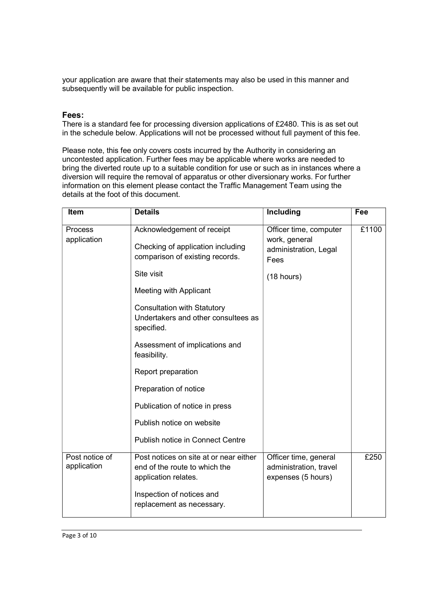your application are aware that their statements may also be used in this manner and subsequently will be available for public inspection.

#### Fees:

There is a standard fee for processing diversion applications of £2480. This is as set out in the schedule below. Applications will not be processed without full payment of this fee.

Please note, this fee only covers costs incurred by the Authority in considering an uncontested application. Further fees may be applicable where works are needed to bring the diverted route up to a suitable condition for use or such as in instances where a diversion will require the removal of apparatus or other diversionary works. For further information on this element please contact the Traffic Management Team using the details at the foot of this document.

| Item                          | <b>Details</b>                                                                                                                                            | Including                                                                              | Fee   |
|-------------------------------|-----------------------------------------------------------------------------------------------------------------------------------------------------------|----------------------------------------------------------------------------------------|-------|
| Process<br>application        | Acknowledgement of receipt<br>Checking of application including<br>comparison of existing records.<br>Site visit<br><b>Meeting with Applicant</b>         | Officer time, computer<br>work, general<br>administration, Legal<br>Fees<br>(18 hours) | £1100 |
|                               | <b>Consultation with Statutory</b><br>Undertakers and other consultees as<br>specified.                                                                   |                                                                                        |       |
|                               | Assessment of implications and<br>feasibility.                                                                                                            |                                                                                        |       |
|                               | Report preparation                                                                                                                                        |                                                                                        |       |
|                               | Preparation of notice                                                                                                                                     |                                                                                        |       |
|                               | Publication of notice in press                                                                                                                            |                                                                                        |       |
|                               | Publish notice on website                                                                                                                                 |                                                                                        |       |
|                               | <b>Publish notice in Connect Centre</b>                                                                                                                   |                                                                                        |       |
| Post notice of<br>application | Post notices on site at or near either<br>end of the route to which the<br>application relates.<br>Inspection of notices and<br>replacement as necessary. | Officer time, general<br>administration, travel<br>expenses (5 hours)                  | £250  |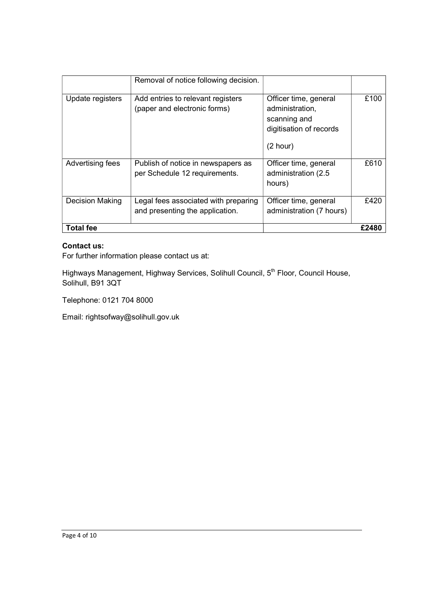|                  | Removal of notice following decision.                                   |                                                                                                 |       |
|------------------|-------------------------------------------------------------------------|-------------------------------------------------------------------------------------------------|-------|
| Update registers | Add entries to relevant registers<br>(paper and electronic forms)       | Officer time, general<br>administration,<br>scanning and<br>digitisation of records<br>(2 hour) | £100  |
| Advertising fees | Publish of notice in newspapers as<br>per Schedule 12 requirements.     | Officer time, general<br>administration (2.5<br>hours)                                          | £610  |
| Decision Making  | Legal fees associated with preparing<br>and presenting the application. | Officer time, general<br>administration (7 hours)                                               | £420  |
| <b>Total fee</b> |                                                                         |                                                                                                 | £2480 |

# Contact us:

For further information please contact us at:

Highways Management, Highway Services, Solihull Council, 5<sup>th</sup> Floor, Council House, Solihull, B91 3QT

Telephone: 0121 704 8000

Email: rightsofway@solihull.gov.uk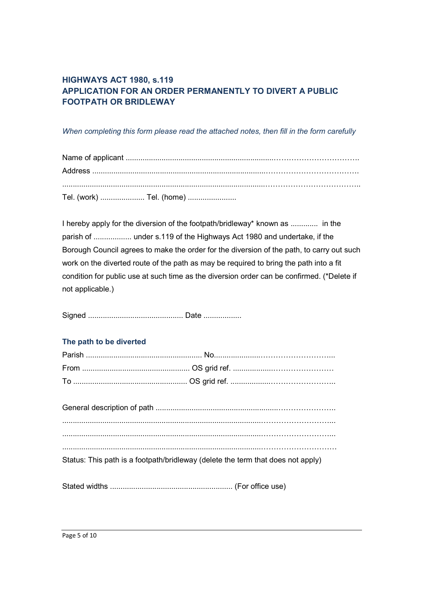# HIGHWAYS ACT 1980, s.119 APPLICATION FOR AN ORDER PERMANENTLY TO DIVERT A PUBLIC FOOTPATH OR BRIDLEWAY

# When completing this form please read the attached notes, then fill in the form carefully

| Tel. (work)  Tel. (home) |
|--------------------------|

I hereby apply for the diversion of the footpath/bridleway\* known as ............. in the parish of .................. under s.119 of the Highways Act 1980 and undertake, if the Borough Council agrees to make the order for the diversion of the path, to carry out such work on the diverted route of the path as may be required to bring the path into a fit condition for public use at such time as the diversion order can be confirmed. (\*Delete if not applicable.)

Signed ............................................. Date ..................

# The path to be diverted

| Status: This path is a footpath/bridleway (delete the term that does not apply) |  |
|---------------------------------------------------------------------------------|--|
|                                                                                 |  |
|                                                                                 |  |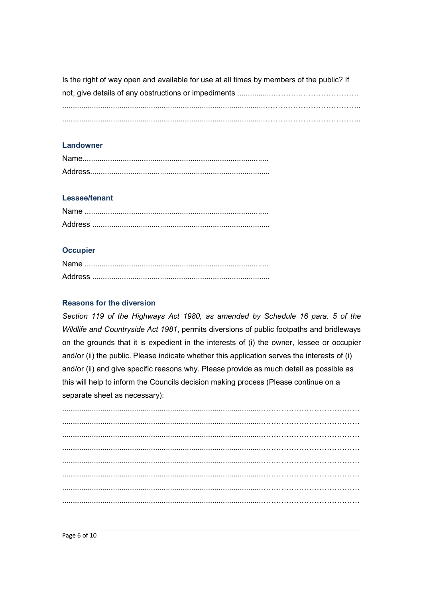Is the right of way open and available for use at all times by members of the public? If 

#### Landowner

| $\textbf{Name} \textit{} \textit{} \textit{} \textit{} \textit{} \textit{} \textit{} \textit{} \textit{} \textit{} \textit{} \textit{} \textit{} \textit{} \textit{} \textit{} \textit{} \textit{} \textit{} \textit{} \textit{} \textit{} \textit{} \textit{} \textit{} \textit{} \textit{} \textit{} \textit{} \textit{} \textit{} \textit{} \textit{} \textit{} \textit{} \textit{$ |  |
|----------------------------------------------------------------------------------------------------------------------------------------------------------------------------------------------------------------------------------------------------------------------------------------------------------------------------------------------------------------------------------------|--|
|                                                                                                                                                                                                                                                                                                                                                                                        |  |

#### Lessee/tenant

#### **Occupier**

#### **Reasons for the diversion**

Section 119 of the Highways Act 1980, as amended by Schedule 16 para. 5 of the Wildlife and Countryside Act 1981, permits diversions of public footpaths and bridleways on the grounds that it is expedient in the interests of (i) the owner, lessee or occupier and/or (ii) the public. Please indicate whether this application serves the interests of (i) and/or (ii) and give specific reasons why. Please provide as much detail as possible as this will help to inform the Councils decision making process (Please continue on a separate sheet as necessary):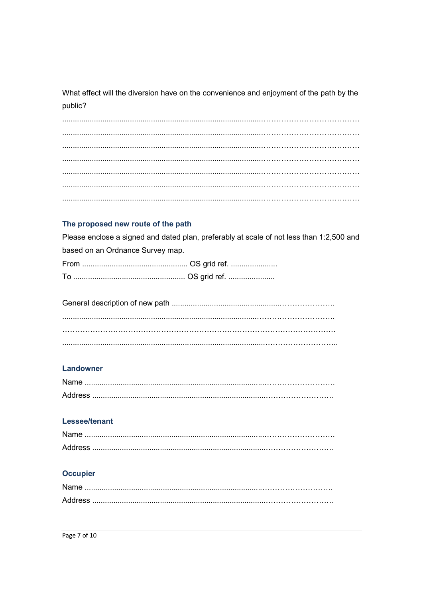What effect will the diversion have on the convenience and enjoyment of the path by the public?

# The proposed new route of the path

Please enclose a signed and dated plan, preferably at scale of not less than 1:2,500 and based on an Ordnance Survey map. 

# **Landowner**

#### **Lessee/tenant**

| Name |  |
|------|--|
|      |  |

# **Occupier**

| Name    |  |
|---------|--|
| Address |  |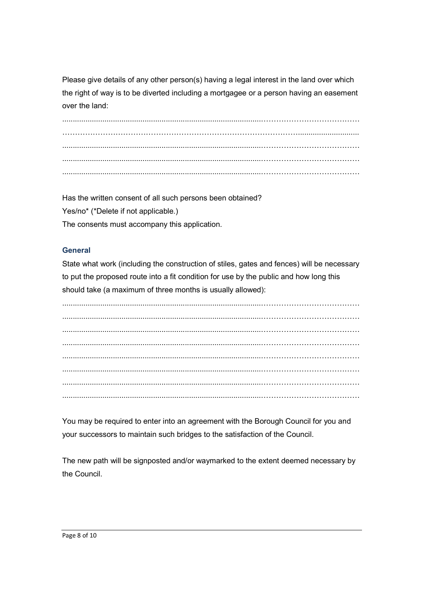Please give details of any other person(s) having a legal interest in the land over which the right of way is to be diverted including a mortgagee or a person having an easement over the land:

..............................................................................................………………………………… …………………………………………………………………………………............................. ..............................................................................................………………………………… ..............................................................................................………………………………… ..............................................................................................…………………………………

Has the written consent of all such persons been obtained? Yes/no\* (\*Delete if not applicable.) The consents must accompany this application.

# General

State what work (including the construction of stiles, gates and fences) will be necessary to put the proposed route into a fit condition for use by the public and how long this should take (a maximum of three months is usually allowed):

..............................................................................................………………………………… ..............................................................................................………………………………… ..............................................................................................………………………………… ..............................................................................................………………………………… ..............................................................................................………………………………… ..............................................................................................………………………………… ..............................................................................................…………………………………

You may be required to enter into an agreement with the Borough Council for you and your successors to maintain such bridges to the satisfaction of the Council.

The new path will be signposted and/or waymarked to the extent deemed necessary by the Council.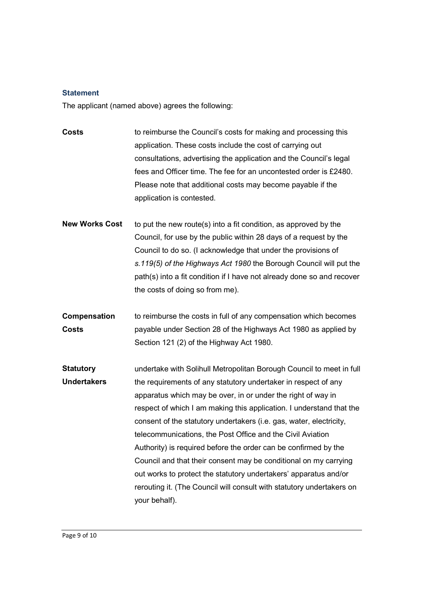#### **Statement**

The applicant (named above) agrees the following:

- **Costs** to reimburse the Council's costs for making and processing this application. These costs include the cost of carrying out consultations, advertising the application and the Council's legal fees and Officer time. The fee for an uncontested order is £2480. Please note that additional costs may become payable if the application is contested.
- New Works Cost to put the new route(s) into a fit condition, as approved by the Council, for use by the public within 28 days of a request by the Council to do so. (I acknowledge that under the provisions of s.119(5) of the Highways Act 1980 the Borough Council will put the path(s) into a fit condition if I have not already done so and recover the costs of doing so from me).
- Compensation **Costs** to reimburse the costs in full of any compensation which becomes payable under Section 28 of the Highways Act 1980 as applied by Section 121 (2) of the Highway Act 1980.
- **Statutory** Undertakers undertake with Solihull Metropolitan Borough Council to meet in full the requirements of any statutory undertaker in respect of any apparatus which may be over, in or under the right of way in respect of which I am making this application. I understand that the consent of the statutory undertakers (i.e. gas, water, electricity, telecommunications, the Post Office and the Civil Aviation Authority) is required before the order can be confirmed by the Council and that their consent may be conditional on my carrying out works to protect the statutory undertakers' apparatus and/or rerouting it. (The Council will consult with statutory undertakers on your behalf).